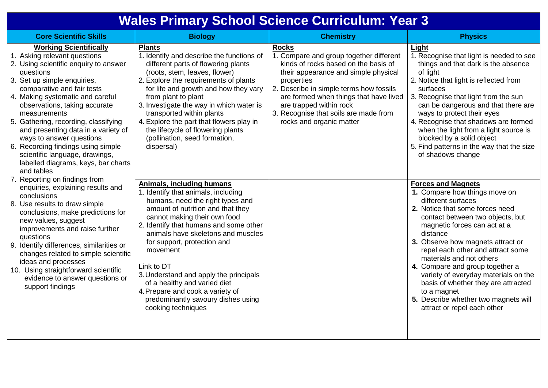## **Wales Primary School Science Curriculum: Year 3**

| <b>Core Scientific Skills</b>                                                                                                                                                                                                                                                                                                                                                                                                                                                                                                                                                                                                                                                                                                                                                                                                                                                                                                                            | <b>Biology</b>                                                                                                                                                                                                                                                                                                                                                                                                                                                                                                                  | <b>Chemistry</b>                                                                                                                                                                                                                                                                                                                           | <b>Physics</b>                                                                                                                                                                                                                                                                                                                                                                                                                                                                                                               |
|----------------------------------------------------------------------------------------------------------------------------------------------------------------------------------------------------------------------------------------------------------------------------------------------------------------------------------------------------------------------------------------------------------------------------------------------------------------------------------------------------------------------------------------------------------------------------------------------------------------------------------------------------------------------------------------------------------------------------------------------------------------------------------------------------------------------------------------------------------------------------------------------------------------------------------------------------------|---------------------------------------------------------------------------------------------------------------------------------------------------------------------------------------------------------------------------------------------------------------------------------------------------------------------------------------------------------------------------------------------------------------------------------------------------------------------------------------------------------------------------------|--------------------------------------------------------------------------------------------------------------------------------------------------------------------------------------------------------------------------------------------------------------------------------------------------------------------------------------------|------------------------------------------------------------------------------------------------------------------------------------------------------------------------------------------------------------------------------------------------------------------------------------------------------------------------------------------------------------------------------------------------------------------------------------------------------------------------------------------------------------------------------|
| <b>Working Scientifically</b><br>1. Asking relevant questions<br>2. Using scientific enquiry to answer<br>questions<br>3. Set up simple enquiries,<br>comparative and fair tests<br>4. Making systematic and careful<br>observations, taking accurate<br>measurements<br>5. Gathering, recording, classifying<br>and presenting data in a variety of<br>ways to answer questions<br>6. Recording findings using simple<br>scientific language, drawings,<br>labelled diagrams, keys, bar charts<br>and tables<br>7. Reporting on findings from<br>enquiries, explaining results and<br>conclusions<br>8. Use results to draw simple<br>conclusions, make predictions for<br>new values, suggest<br>improvements and raise further<br>questions<br>9. Identify differences, similarities or<br>changes related to simple scientific<br>ideas and processes<br>10. Using straightforward scientific<br>evidence to answer questions or<br>support findings | <b>Plants</b><br>1. Identify and describe the functions of<br>different parts of flowering plants<br>(roots, stem, leaves, flower)<br>2. Explore the requirements of plants<br>for life and growth and how they vary<br>from plant to plant<br>3. Investigate the way in which water is<br>transported within plants<br>4. Explore the part that flowers play in<br>the lifecycle of flowering plants<br>(pollination, seed formation,<br>dispersal)<br><b>Animals, including humans</b><br>1. Identify that animals, including | <b>Rocks</b><br>1. Compare and group together different<br>kinds of rocks based on the basis of<br>their appearance and simple physical<br>properties<br>2. Describe in simple terms how fossils<br>are formed when things that have lived<br>are trapped within rock<br>3. Recognise that soils are made from<br>rocks and organic matter | <b>Light</b><br>1. Recognise that light is needed to see<br>things and that dark is the absence<br>of light<br>2. Notice that light is reflected from<br>surfaces<br>3. Recognise that light from the sun<br>can be dangerous and that there are<br>ways to protect their eyes<br>4. Recognise that shadows are formed<br>when the light from a light source is<br>blocked by a solid object<br>5. Find patterns in the way that the size<br>of shadows change<br><b>Forces and Magnets</b><br>1. Compare how things move on |
|                                                                                                                                                                                                                                                                                                                                                                                                                                                                                                                                                                                                                                                                                                                                                                                                                                                                                                                                                          | humans, need the right types and<br>amount of nutrition and that they<br>cannot making their own food<br>2. Identify that humans and some other<br>animals have skeletons and muscles<br>for support, protection and<br>movement<br>Link to DT<br>3. Understand and apply the principals<br>of a healthy and varied diet<br>4. Prepare and cook a variety of<br>predominantly savoury dishes using<br>cooking techniques                                                                                                        |                                                                                                                                                                                                                                                                                                                                            | different surfaces<br>2. Notice that some forces need<br>contact between two objects, but<br>magnetic forces can act at a<br>distance<br>3. Observe how magnets attract or<br>repel each other and attract some<br>materials and not others<br>4. Compare and group together a<br>variety of everyday materials on the<br>basis of whether they are attracted<br>to a magnet<br>5. Describe whether two magnets will<br>attract or repel each other                                                                          |